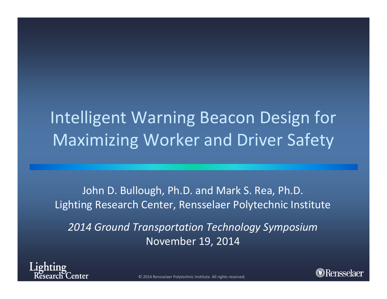## Intelligent Warning Beacon Design for Maximizing Worker and Driver Safety

John D. Bullough, Ph.D. and Mark S. Rea, Ph.D. Lighting Research Center, Rensselaer Polytechnic Institute

*2014 Ground Transportation Technology Symposium* November 19, 2014





© 2014 Rensselaer Polytechnic Institute. All rights reserved.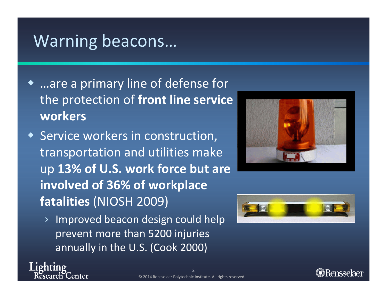#### Warning beacons…

- …are <sup>a</sup> primary line of defense for the protection of **front line service workers**
- Service workers in construction, transportation and utilities make up **13% of U.S. work force but are involved of 36% of workplace fatalities** (NIOSH 2009)
	- › Improved beacon design could help prevent more than 5200 injuries annually in the U.S. (Cook 2000)





ighting lenter

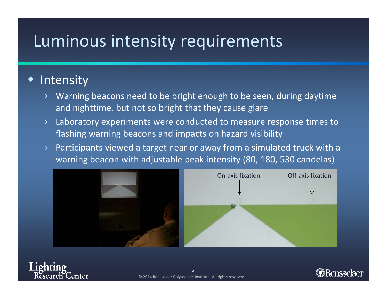## Luminous intensity requirements

#### $\blacklozenge$ **Intensity**

- › Warning beacons need to be bright enough to be seen, during daytime and nighttime, but not so bright that they cause glare
- › Laboratory experiments were conducted to measure response times to flashing warning beacons and impacts on hazard visibility
- › Participants viewed <sup>a</sup> target near or away from <sup>a</sup> simulated truck with <sup>a</sup> warning beacon with adjustable peak intensity (80, 180, 530 candelas)



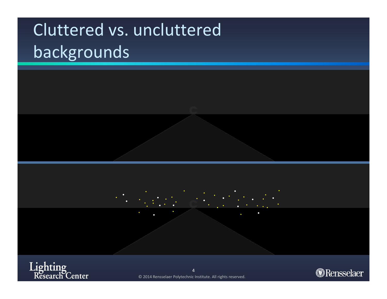# Cluttered vs. uncluttered backgrounds



Lighting<br>Research Center

© 2014 Rensselaer Polytechnic Institute. All rights reserved.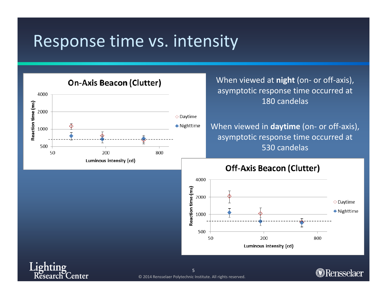#### Response time vs. intensity



When viewed at **night** (on‐ or off‐axis), asymptotic response time occurred at 180 candelas

> When viewed in **daytime** (on‐ or off‐axis), asymptotic response time occurred at 530 candelas

#### **Off-Axis Beacon (Clutter)**



ighting enter **Research** 

© 2014 Rensselaer Polytechnic Institute. All rights reserved. 5

**@Rensselaer**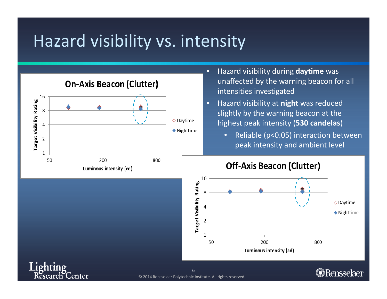#### Hazard visibility vs. intensity



<u>ighting</u>

**Research** 

enter

- • Hazard visibility during **daytime** was unaffected by the warning beacon for all intensities investigated
- •**•** Hazard visibility at night was reduced slightly by the warning beacon at the highest peak intensity (**530 candelas**)
	- • Reliable (p<0.05) interaction between peak intensity and ambient level



**@Rensselaer**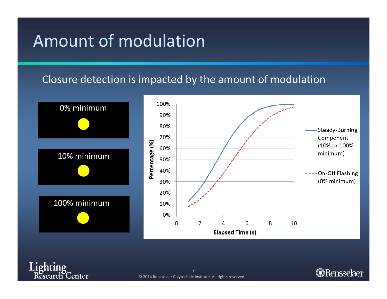#### Amount of modulation

#### Closure detection is impacted by the amount of modulation







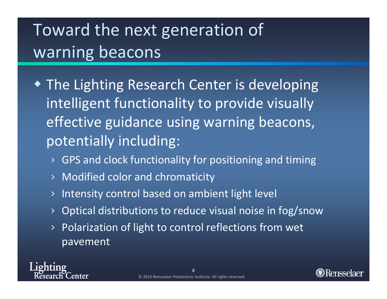# Toward the next generation of warning beacons

- The Lighting Research Center is developing intelligent functionality to provide visually effective guidance using warning beacons, potentially including:
	- ›GPS and clock functionality for positioning and timing
	- ›Modified color and chromaticity
	- ›Intensity control based on ambient light level
	- ›Optical distributions to reduce visual noise in fog/snow
	- › Polarization of light to control reflections from wet pavement

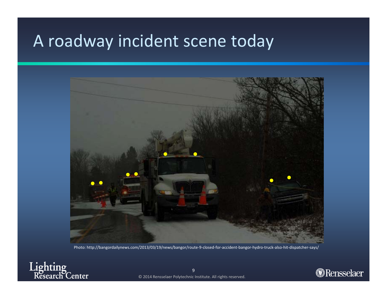#### A roadway incident scene today



Photo: http://bangordailynews.com/2013/03/19/news/bangor/route‐9‐closed‐for‐accident‐bangor‐hydro‐truck‐also‐hit‐dispatcher‐says/



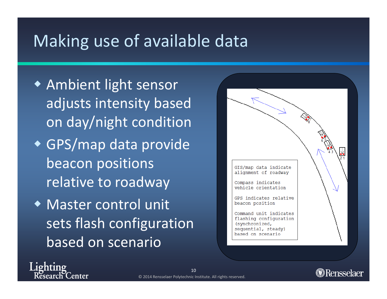### Making use of available data

- Ambient light sensor adjusts intensity based on day/night condition GPS/map data provide beacon positions relative to roadway
- Master control unit sets flash configuration based on scenario

Lighting

enter



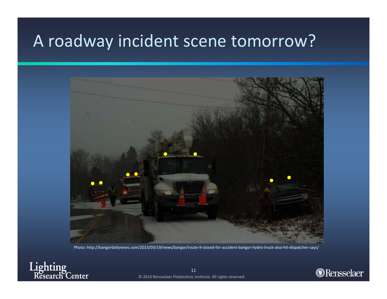#### A roadway incident scene tomorrow?



Photo: http://bangordailynews.com/2013/03/19/news/bangor/route‐9‐closed‐for‐accident‐bangor‐hydro‐truck‐also‐hit‐dispatcher‐says/



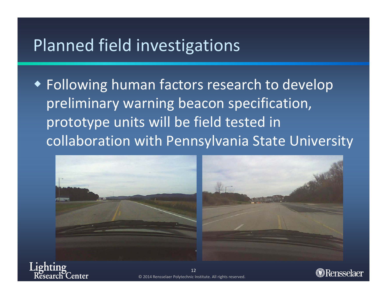#### Planned field investigations

 Following human factors research to develop preliminary warning beacon specification, prototype units will be field tested in collaboration with Pennsylvania State University